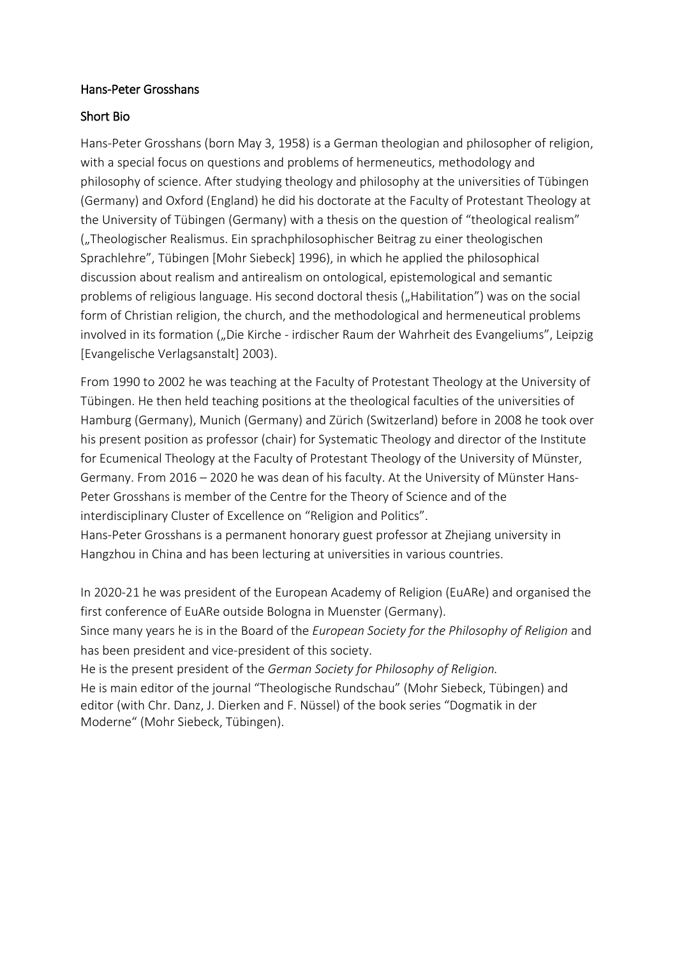### Hans-Peter Grosshans

### Short Bio

Hans-Peter Grosshans (born May 3, 1958) is a German theologian and philosopher of religion, with a special focus on questions and problems of hermeneutics, methodology and philosophy of science. After studying theology and philosophy at the universities of Tübingen (Germany) and Oxford (England) he did his doctorate at the Faculty of Protestant Theology at the University of Tübingen (Germany) with a thesis on the question of "theological realism" ("Theologischer Realismus. Ein sprachphilosophischer Beitrag zu einer theologischen Sprachlehre", Tübingen [Mohr Siebeck] 1996), in which he applied the philosophical discussion about realism and antirealism on ontological, epistemological and semantic problems of religious language. His second doctoral thesis ("Habilitation") was on the social form of Christian religion, the church, and the methodological and hermeneutical problems involved in its formation ("Die Kirche - irdischer Raum der Wahrheit des Evangeliums", Leipzig [Evangelische Verlagsanstalt] 2003).

From 1990 to 2002 he was teaching at the Faculty of Protestant Theology at the University of Tübingen. He then held teaching positions at the theological faculties of the universities of Hamburg (Germany), Munich (Germany) and Zürich (Switzerland) before in 2008 he took over his present position as professor (chair) for Systematic Theology and director of the Institute for Ecumenical Theology at the Faculty of Protestant Theology of the University of Münster, Germany. From 2016 – 2020 he was dean of his faculty. At the University of Münster Hans-Peter Grosshans is member of the Centre for the Theory of Science and of the interdisciplinary Cluster of Excellence on "Religion and Politics". Hans-Peter Grosshans is a permanent honorary guest professor at Zhejiang university in

Hangzhou in China and has been lecturing at universities in various countries.

In 2020-21 he was president of the European Academy of Religion (EuARe) and organised the first conference of EuARe outside Bologna in Muenster (Germany).

Since many years he is in the Board of the *European Society for the Philosophy of Religion* and has been president and vice-president of this society.

He is the present president of the *German Society for Philosophy of Religion.* He is main editor of the journal "Theologische Rundschau" (Mohr Siebeck, Tübingen) and

editor (with Chr. Danz, J. Dierken and F. Nüssel) of the book series "Dogmatik in der Moderne" (Mohr Siebeck, Tübingen).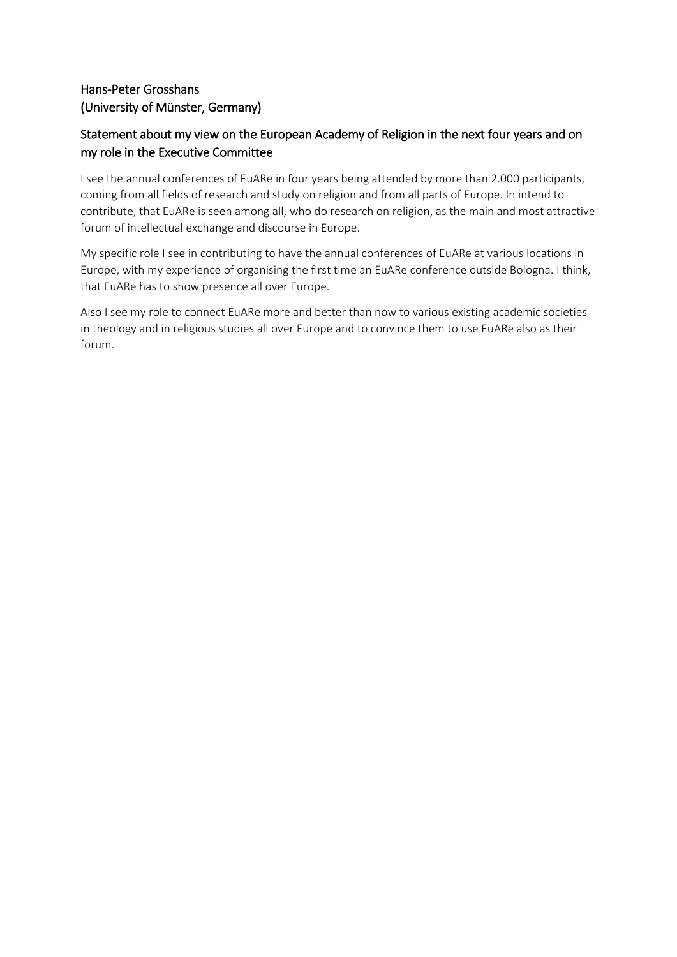## Hans-Peter Grosshans (University of Münster, Germany)

# Statement about my view on the European Academy of Religion in the next four years and on my role in the Executive Committee

I see the annual conferences of EuARe in four years being attended by more than 2.000 participants, coming from all fields of research and study on religion and from all parts of Europe. In intend to contribute, that EuARe is seen among all, who do research on religion, as the main and most attractive forum of intellectual exchange and discourse in Europe.

My specific role I see in contributing to have the annual conferences of EuARe at various locations in Europe, with my experience of organising the first time an EuARe conference outside Bologna. I think, that EuARe has to show presence all over Europe.

Also I see my role to connect EuARe more and better than now to various existing academic societies in theology and in religious studies all over Europe and to convince them to use EuARe also as their forum.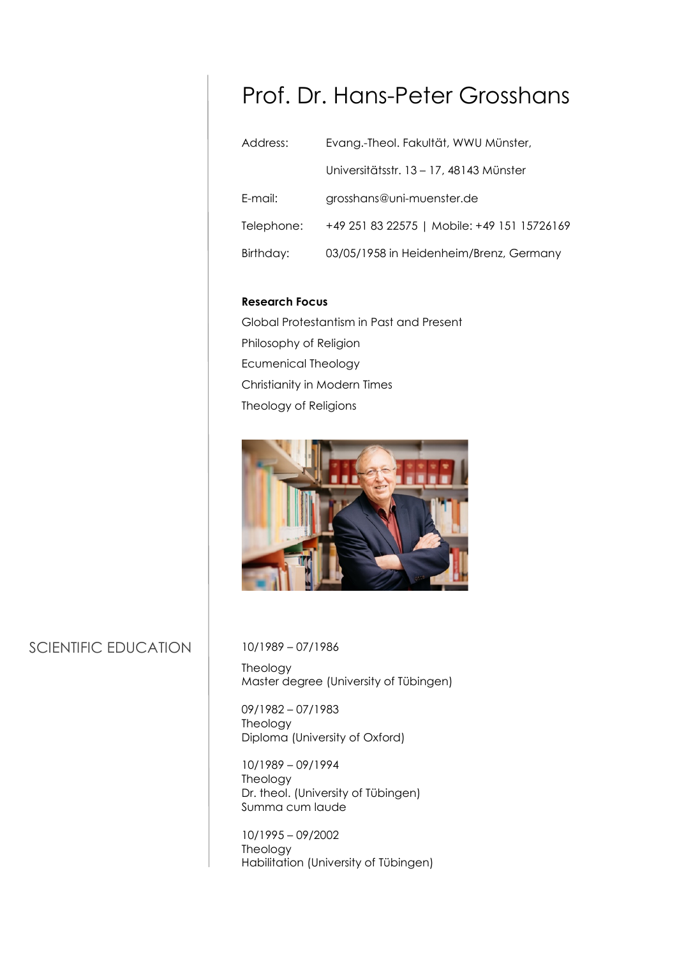# Prof. Dr. Hans-Peter Grosshans

| Address:   | Evang.-Theol. Fakultät, WWU Münster,        |  |
|------------|---------------------------------------------|--|
|            | Universitätsstr. 13 – 17, 48143 Münster     |  |
| E-mail:    | grosshans@uni-muenster.de                   |  |
| Telephone: | +49 251 83 22575   Mobile: +49 151 15726169 |  |
| Birthday:  | 03/05/1958 in Heidenheim/Brenz, Germany     |  |

#### **Research Focus**

Global Protestantism in Past and Present Philosophy of Religion Ecumenical Theology Christianity in Modern Times Theology of Religions



# SCIENTIFIC EDUCATION

10/1989 – 07/1986

Theology Master degree (University of Tübingen)

09/1982 – 07/1983 Theology Diploma (University of Oxford)

10/1989 – 09/1994 Theology Dr. theol. (University of Tübingen) Summa cum laude

10/1995 – 09/2002 Theology Habilitation (University of Tübingen)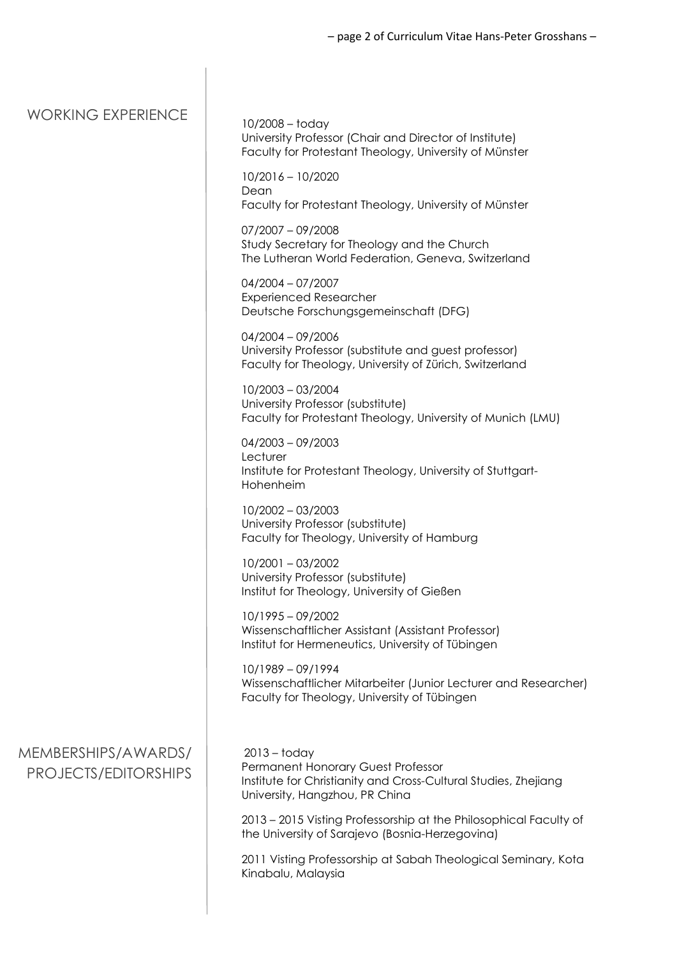### – page 2 of Curriculum Vitae Hans-Peter Grosshans –

| <b>WORKING EXPERIENCE</b>                   | $10/2008 -$ today<br>University Professor (Chair and Director of Institute)<br>Faculty for Protestant Theology, University of Münster                     |
|---------------------------------------------|-----------------------------------------------------------------------------------------------------------------------------------------------------------|
|                                             | $10/2016 - 10/2020$<br>Dean<br>Faculty for Protestant Theology, University of Münster                                                                     |
|                                             | $07/2007 - 09/2008$<br>Study Secretary for Theology and the Church<br>The Lutheran World Federation, Geneva, Switzerland                                  |
|                                             | $04/2004 - 07/2007$<br><b>Experienced Researcher</b><br>Deutsche Forschungsgemeinschaft (DFG)                                                             |
|                                             | $04/2004 - 09/2006$<br>University Professor (substitute and guest professor)<br>Faculty for Theology, University of Zürich, Switzerland                   |
|                                             | 10/2003 - 03/2004<br>University Professor (substitute)<br>Faculty for Protestant Theology, University of Munich (LMU)                                     |
|                                             | $04/2003 - 09/2003$<br>Lecturer<br>Institute for Protestant Theology, University of Stuttgart-<br>Hohenheim                                               |
|                                             | $10/2002 - 03/2003$<br>University Professor (substitute)<br>Faculty for Theology, University of Hamburg                                                   |
|                                             | $10/2001 - 03/2002$<br>University Professor (substitute)<br>Institut for Theology, University of Gießen                                                   |
|                                             | $10/1995 - 09/2002$<br>Wissenschaftlicher Assistant (Assistant Professor)<br>Institut for Hermeneutics, University of Tübingen                            |
|                                             | 10/1989 - 09/1994<br>Wissenschaftlicher Mitarbeiter (Junior Lecturer and Researcher)<br>Faculty for Theology, University of Tübingen                      |
| MEMBERSHIPS/AWARDS/<br>PROJECTS/EDITORSHIPS | $2013 -$ today<br>Permanent Honorary Guest Professor<br>Institute for Christianity and Cross-Cultural Studies, Zhejiang<br>University, Hangzhou, PR China |
|                                             | 2013 - 2015 Visting Professorship at the Philosophical Faculty of<br>the University of Sarajevo (Bosnia-Herzegovina)                                      |
|                                             | 2011 Visting Professorship at Sabah Theological Seminary, Kota<br>Kinabalu, Malaysia                                                                      |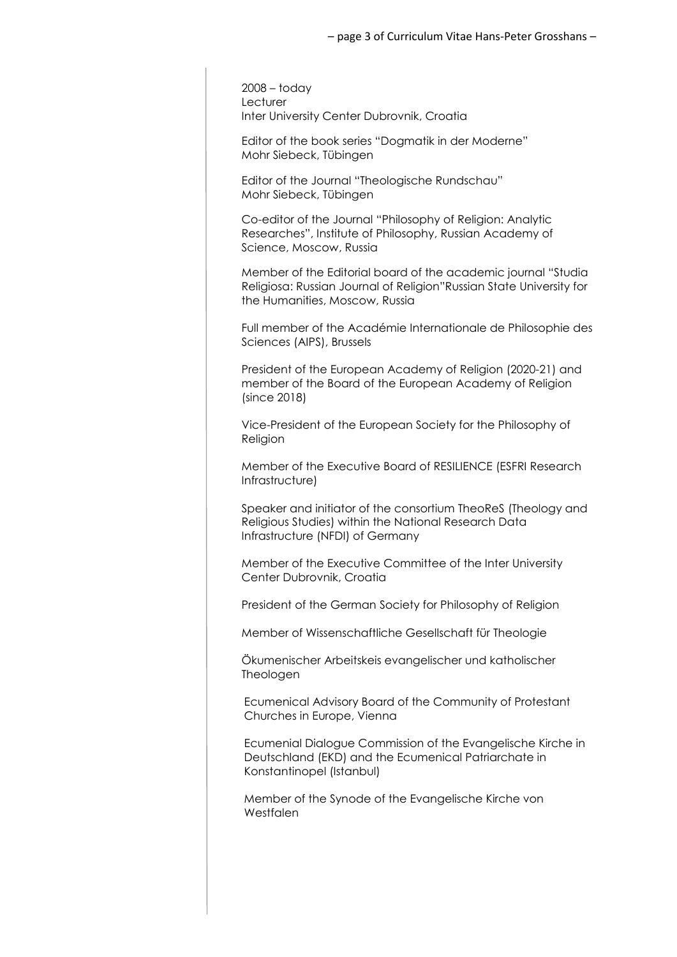2008 – today **Lecturer** Inter University Center Dubrovnik, Croatia

Editor of the book series "Dogmatik in der Moderne" Mohr Siebeck, Tübingen

Editor of the Journal "Theologische Rundschau" Mohr Siebeck, Tübingen

Co-editor of the Journal "Philosophy of Religion: Analytic Researches", Institute of Philosophy, Russian Academy of Science, Moscow, Russia

Member of the Editorial board of the academic journal "Studia Religiosa: Russian Journal of Religion"Russian State University for the Humanities, Moscow, Russia

Full member of the Académie Internationale de Philosophie des Sciences (AIPS), Brussels

President of the European Academy of Religion (2020-21) and member of the Board of the European Academy of Religion (since 2018)

Vice-President of the European Society for the Philosophy of Religion

Member of the Executive Board of RESILIENCE (ESFRI Research Infrastructure)

Speaker and initiator of the consortium TheoReS (Theology and Religious Studies) within the National Research Data Infrastructure (NFDI) of Germany

Member of the Executive Committee of the Inter University Center Dubrovnik, Croatia

President of the German Society for Philosophy of Religion

Member of Wissenschaftliche Gesellschaft für Theologie

Ökumenischer Arbeitskeis evangelischer und katholischer Theologen

Ecumenical Advisory Board of the Community of Protestant Churches in Europe, Vienna

Ecumenial Dialogue Commission of the Evangelische Kirche in Deutschland (EKD) and the Ecumenical Patriarchate in Konstantinopel (Istanbul)

Member of the Synode of the Evangelische Kirche von Westfalen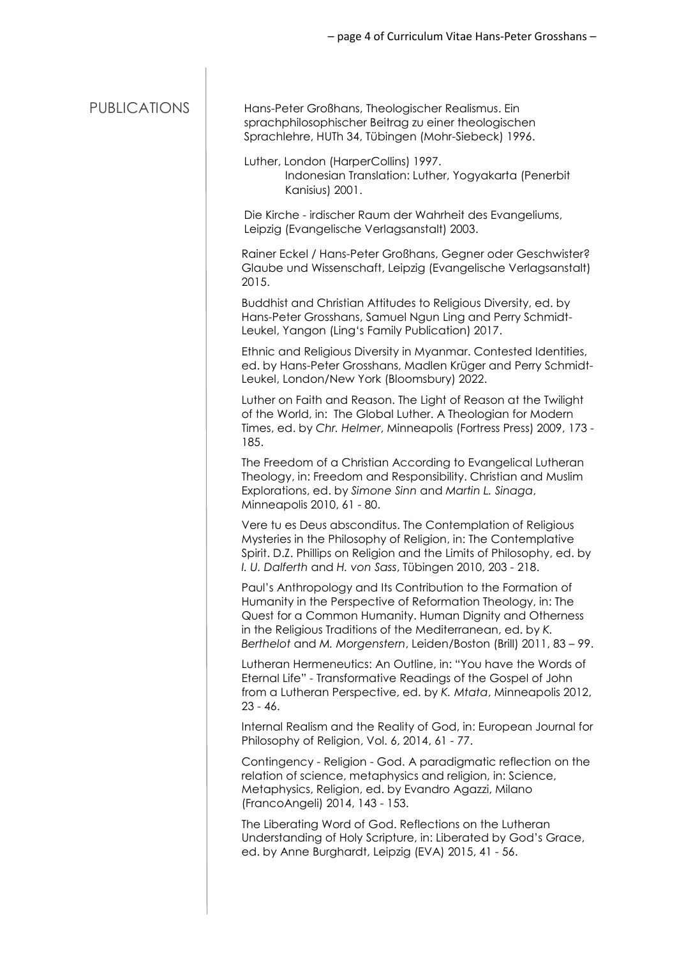| <b>PUBLICATIONS</b> | Hans-Peter Großhans, Theologischer Realismus. Ein<br>sprachphilosophischer Beitrag zu einer theologischen<br>Sprachlehre, HUTh 34, Tübingen (Mohr-Siebeck) 1996.                                                                                                                                                              |
|---------------------|-------------------------------------------------------------------------------------------------------------------------------------------------------------------------------------------------------------------------------------------------------------------------------------------------------------------------------|
|                     | Luther, London (HarperCollins) 1997.<br>Indonesian Translation: Luther, Yogyakarta (Penerbit<br>Kanisius) 2001.                                                                                                                                                                                                               |
|                     | Die Kirche - irdischer Raum der Wahrheit des Evangeliums,<br>Leipzig (Evangelische Verlagsanstalt) 2003.                                                                                                                                                                                                                      |
|                     | Rainer Eckel / Hans-Peter Großhans, Gegner oder Geschwister?<br>Glaube und Wissenschaft, Leipzig (Evangelische Verlagsanstalt)<br>2015.                                                                                                                                                                                       |
|                     | Buddhist and Christian Attitudes to Religious Diversity, ed. by<br>Hans-Peter Grosshans, Samuel Ngun Ling and Perry Schmidt-<br>Leukel, Yangon (Ling's Family Publication) 2017.                                                                                                                                              |
|                     | Ethnic and Religious Diversity in Myanmar. Contested Identities,<br>ed. by Hans-Peter Grosshans, Madlen Krüger and Perry Schmidt-<br>Leukel, London/New York (Bloomsbury) 2022.                                                                                                                                               |
|                     | Luther on Faith and Reason. The Light of Reason at the Twilight<br>of the World, in: The Global Luther. A Theologian for Modern<br>Times, ed. by Chr. Helmer, Minneapolis (Fortress Press) 2009, 173 -<br>185.                                                                                                                |
|                     | The Freedom of a Christian According to Evangelical Lutheran<br>Theology, in: Freedom and Responsibility. Christian and Muslim<br>Explorations, ed. by Simone Sinn and Martin L. Sinaga,<br>Minneapolis 2010, 61 - 80.                                                                                                        |
|                     | Vere tu es Deus absconditus. The Contemplation of Religious<br>Mysteries in the Philosophy of Religion, in: The Contemplative<br>Spirit. D.Z. Phillips on Religion and the Limits of Philosophy, ed. by<br>I. U. Dalferth and H. von Sass, Tübingen 2010, 203 - 218.                                                          |
|                     | Paul's Anthropology and Its Contribution to the Formation of<br>Humanity in the Perspective of Reformation Theology, in: The<br>Quest for a Common Humanity. Human Dignity and Otherness<br>in the Religious Traditions of the Mediterranean, ed. by K.<br>Berthelot and M. Morgenstern, Leiden/Boston (Brill) 2011, 83 - 99. |
|                     | Lutheran Hermeneutics: An Outline, in: "You have the Words of<br>Eternal Life" - Transformative Readings of the Gospel of John<br>from a Lutheran Perspective, ed. by K. Mtata, Minneapolis 2012,<br>$23 - 46.$                                                                                                               |
|                     | Internal Realism and the Reality of God, in: European Journal for<br>Philosophy of Religion, Vol. 6, 2014, 61 - 77.                                                                                                                                                                                                           |
|                     | Contingency - Religion - God. A paradigmatic reflection on the<br>relation of science, metaphysics and religion, in: Science,<br>Metaphysics, Religion, ed. by Evandro Agazzi, Milano<br>(FrancoAngeli) 2014, 143 - 153.                                                                                                      |
|                     | The Liberating Word of God. Reflections on the Lutheran<br>Understanding of Holy Scripture, in: Liberated by God's Grace,<br>ed. by Anne Burghardt, Leipzig (EVA) 2015, 41 - 56.                                                                                                                                              |
|                     |                                                                                                                                                                                                                                                                                                                               |